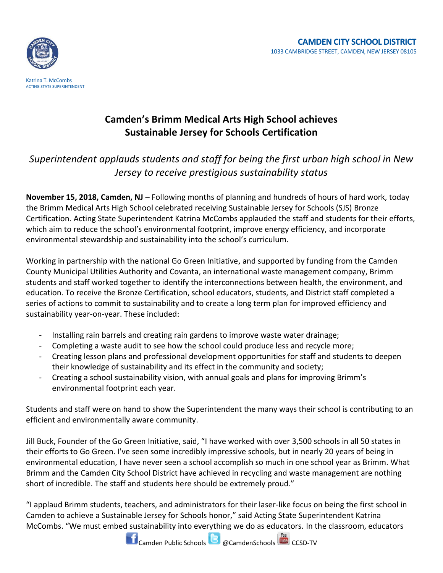

## **Camden's Brimm Medical Arts High School achieves Sustainable Jersey for Schools Certification**

## *Superintendent applauds students and staff for being the first urban high school in New Jersey to receive prestigious sustainability status*

**November 15, 2018, Camden, NJ** – Following months of planning and hundreds of hours of hard work, today the Brimm Medical Arts High School celebrated receiving Sustainable Jersey for Schools (SJS) Bronze Certification. Acting State Superintendent Katrina McCombs applauded the staff and students for their efforts, which aim to reduce the school's environmental footprint, improve energy efficiency, and incorporate environmental stewardship and sustainability into the school's curriculum.

Working in partnership with the national Go Green Initiative, and supported by funding from the Camden County Municipal Utilities Authority and Covanta, an international waste management company, Brimm students and staff worked together to identify the interconnections between health, the environment, and education. To receive the Bronze Certification, school educators, students, and District staff completed a series of actions to commit to sustainability and to create a long term plan for improved efficiency and sustainability year-on-year. These included:

- Installing rain barrels and creating rain gardens to improve waste water drainage;
- Completing a waste audit to see how the school could produce less and recycle more;
- Creating lesson plans and professional development opportunities for staff and students to deepen their knowledge of sustainability and its effect in the community and society;
- Creating a school sustainability vision, with annual goals and plans for improving Brimm's environmental footprint each year.

Students and staff were on hand to show the Superintendent the many ways their school is contributing to an efficient and environmentally aware community.

Jill Buck, Founder of the Go Green Initiative, said, "I have worked with over 3,500 schools in all 50 states in their efforts to Go Green. I've seen some incredibly impressive schools, but in nearly 20 years of being in environmental education, I have never seen a school accomplish so much in one school year as Brimm. What Brimm and the Camden City School District have achieved in recycling and waste management are nothing short of incredible. The staff and students here should be extremely proud."

"I applaud Brimm students, teachers, and administrators for their laser-like focus on being the first school in Camden to achieve a Sustainable Jersey for Schools honor," said Acting State Superintendent Katrina McCombs. "We must embed sustainability into everything we do as educators. In the classroom, educators